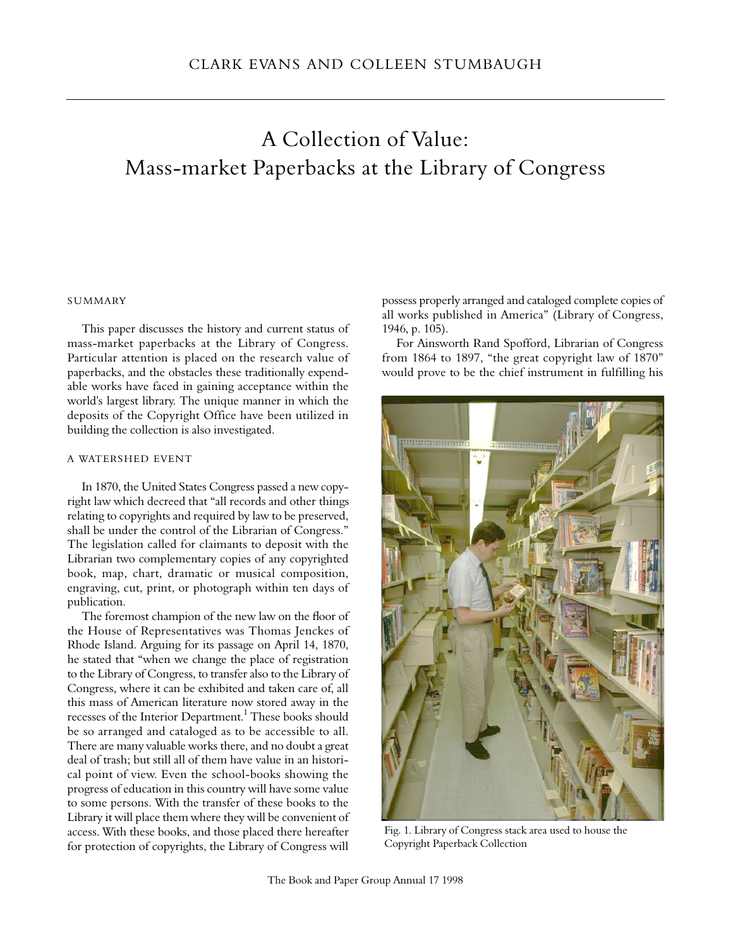# A Collection of Value: Mass-market Paperbacks at the Library of Congress

# **SUMMARY**

This paper discusses the history and current status of mass-market paperbacks at the Library of Congress. Particular attention is placed on the research value of paperbacks, and the obstacles these traditionally expendable works have faced in gaining acceptance within the world's largest library. The unique manner in which the deposits of the Copyright Office have been utilized in building the collection is also investigated.

# A WATERSHED EVENT

In 1870, the United States Congress passed a new copyright law which decreed that "all records and other things relating to copyrights and required by law to be preserved, shall be under the control of the Librarian of Congress." The legislation called for claimants to deposit with the Librarian two complementary copies of any copyrighted book, map, chart, dramatic or musical composition, engraving, cut, print, or photograph within ten days of publication.

The foremost champion of the new law on the floor of the House of Representatives was Thomas Jenckes of Rhode Island. Arguing for its passage on April 14, 1870, he stated that "when we change the place of registration to the Library of Congress, to transfer also to the Library of Congress, where it can be exhibited and taken care of, all this mass of American literature now stored away in the recesses of the Interior Department.<sup>1</sup> These books should be so arranged and cataloged as to be accessible to all. There are many valuable works there, and no doubt a great deal of trash; but still all of them have value in an historical point of view. Even the school-books showing the progress of education in this country will have some value to some persons. With the transfer of these books to the Library it will place them where they will be convenient of access. With these books, and those placed there hereafter for protection of copyrights, the Library of Congress will

possess properly arranged and cataloged complete copies of all works published in America" (Library of Congress, 1946, p. 105).

For Ainsworth Rand Spofford, Librarian of Congress from 1864 to 1897, "the great copyright law of 1870" would prove to be the chief instrument in fulfilling his



Fig. 1. Library of Congress stack area used to house the Copyright Paperback Collection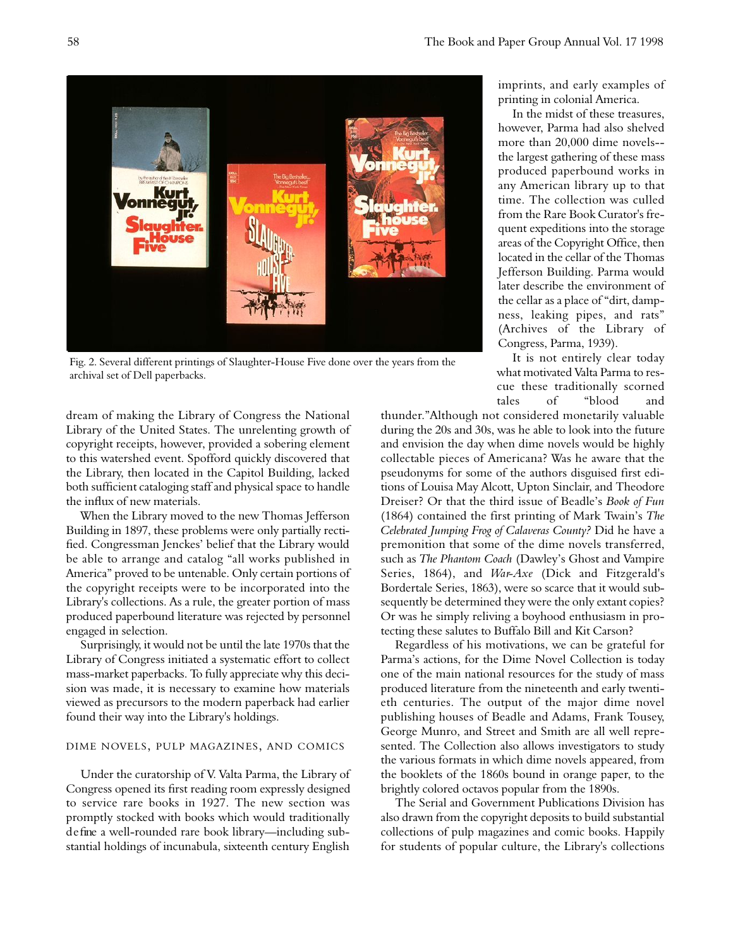

Fig. 2. Several different printings of Slaughter-House Five done over the years from the archival set of Dell paperbacks.

dream of making the Library of Congress the National Library of the United States. The unrelenting growth of copyright receipts, however, provided a sobering element to this watershed event. Spofford quickly discovered that the Library, then located in the Capitol Building, lacked both sufficient cataloging staff and physical space to handle the influx of new materials.

When the Library moved to the new Thomas Jefferson Building in 1897, these problems were only partially rectified. Congressman Jenckes' belief that the Library would be able to arrange and catalog "all works published in America" proved to be untenable. Only certain portions of the copyright receipts were to be incorporated into the Library's collections. As a rule, the greater portion of mass produced paperbound literature was rejected by personnel engaged in selection.

Surprisingly, it would not be until the late 1970s that the Library of Congress initiated a systematic effort to collect mass-market paperbacks. To fully appreciate why this decision was made, it is necessary to examine how materials viewed as precursors to the modern paperback had earlier found their way into the Library's holdings.

## DIME NOVELS, PULP MAGAZINES, AND COMICS

Under the curatorship of V. Valta Parma, the Library of Congress opened its first reading room expressly designed to service rare books in 1927. The new section was promptly stocked with books which would traditionally d e fine a well-rounded rare book library—including substantial holdings of incunabula, sixteenth century English

imprints, and early examples of printing in colonial America.

In the midst of these treasures, however. Parma had also shelved more than 20,000 dime novels- the largest gathering of these mass produced paperbound works in any American library up to that time. The collection was culled from the Rare Book Curator's frequent expeditions into the storage areas of the Copyright Office, then located in the cellar of the Thomas Jefferson Building. Parma would later describe the environment of the cellar as a place of "dirt, dampness, leaking pipes, and rats" (Archives of the Library of Congress, Parma, 1939).

It is not entirely clear today what motivated Valta Parma to rescue these traditionally scorned tales of "blood and

thunder."Although not considered monetarily valuable during the 20s and 30s, was he able to look into the future and envision the day when dime novels would be highly collectable pieces of Americana? Was he aware that the pseudonyms for some of the authors disguised first editions of Louisa May Alcott, Upton Sinclair, and Theodore Dreiser? Or that the third issue of Beadle's *Book of Fun* (1864) contained the first printing of Mark Twain's The *Celebrated Jumping Frog of Calaveras County?* Did he have a premonition that some of the dime novels transferred, such as *The Phantom Coach* (Dawley's Ghost and Vampire Series, 1864), and *War-Axe* (Dick and Fitzgerald's Bordertale Series, 1863), were so scarce that it would subsequently be determined they were the only extant copies? Or was he simply reliving a boyhood enthusiasm in protecting these salutes to Buffalo Bill and Kit Carson?

Regardless of his motivations, we can be grateful for Parma's actions, for the Dime Novel Collection is today one of the main national resources for the study of mass produced literature from the nineteenth and early twentieth centuries. The output of the major dime novel publishing houses of Beadle and Adams, Frank Tousey, George Munro, and Street and Smith are all well represented. The Collection also allows investigators to study the various formats in which dime novels appeared, from the booklets of the 1860s bound in orange paper, to the brightly colored octavos popular from the 1890s.

The Serial and Government Publications Division has also drawn from the copyright deposits to build substantial collections of pulp magazines and comic books. Happily for students of popular culture, the Library's collections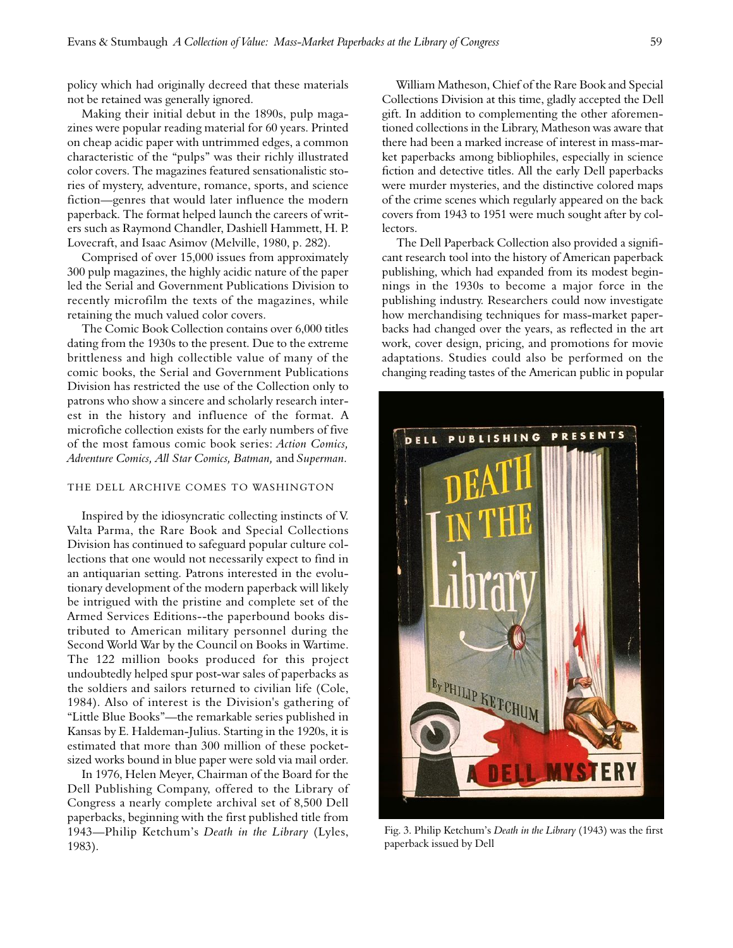policy which had originally decreed that these materials not be retained was generally ignored.

Making their initial debut in the 1890s, pulp magazines were popular reading material for 60 years. Printed on cheap acidic paper with untrimmed edges, a common characteristic of the "pulps" was their richly illustrated color covers. The magazines featured sensationalistic stories of mystery, adventure, romance, sports, and science fiction—genres that would later influence the modern paperback. The format helped launch the careers of writers such as Raymond Chandler, Dashiell Hammett, H. P. Lovecraft, and Isaac Asimov (Melville, 1980, p. 282).

Comprised of over 15,000 issues from approximately 300 pulp magazines, the highly acidic nature of the paper led the Serial and Government Publications Division to recently microfilm the texts of the magazines, while retaining the much valued color covers.

The Comic Book Collection contains over 6,000 titles dating from the 1930s to the present. Due to the extreme brittleness and high collectible value of many of the comic books, the Serial and Government Publications Division has restricted the use of the Collection only to patrons who show a sincere and scholarly research interest in the history and influence of the format. A microfiche collection exists for the early numbers of five of the most famous comic book series: *Action Comics, Adventure Comics, All Star Comics, Batman, and Superman.* 

## THE DELL ARCHIVE COMES TO WASHINGTON

Inspired by the idiosyncratic collecting instincts of V. Valta Parma, the Rare Book and Special Collections Division has continued to safeguard popular culture collections that one would not necessarily expect to find in an antiquarian setting. Patrons interested in the evolutionary development of the modern paperback will likely be intrigued with the pristine and complete set of the Armed Services Editions--the paperbound books distributed to American military personnel during the Second World War by the Council on Books in Wartime. The 122 million books produced for this project undoubtedly helped spur post-war sales of paperbacks as the soldiers and sailors returned to civilian life (Cole, 1984). Also of interest is the Division's gathering of "Little Blue Books"—the remarkable series published in Kansas by E. Haldeman-Julius. Starting in the 1920s, it is estimated that more than 300 million of these pocketsized works bound in blue paper were sold via mail order.

In 1976, Helen Meyer, Chairman of the Board for the Dell Publishing Company, offered to the Library of Congress a nearly complete archival set of 8,500 Dell paperbacks, beginning with the first published title from 1943—Philip Ketchum's *Death in the Library* (Lyles,  $1983$ ).

William Matheson, Chief of the Rare Book and Special Collections Division at this time, gladly accepted the Dell gift. In addition to complementing the other aforementioned collections in the Library, Matheson was aware that there had been a marked increase of interest in mass-market paperbacks among bibliophiles, especially in science fiction and detective titles. All the early Dell paperbacks were murder mysteries, and the distinctive colored maps of the crime scenes which regularly appeared on the back covers from 1943 to 1951 were much sought after by collectors.

The Dell Paperback Collection also provided a significant research tool into the history of American paperback publishing, which had expanded from its modest beginnings in the 1930s to become a major force in the publishing industry. Researchers could now investigate how merchandising techniques for mass-market paperbacks had changed over the years, as reflected in the art work, cover design, pricing, and promotions for movie adaptations. Studies could also be performed on the changing reading tastes of the American public in popular



Fig. 3. Philip Ketchum's *Death in the Library* (1943) was the first paperback issued by Dell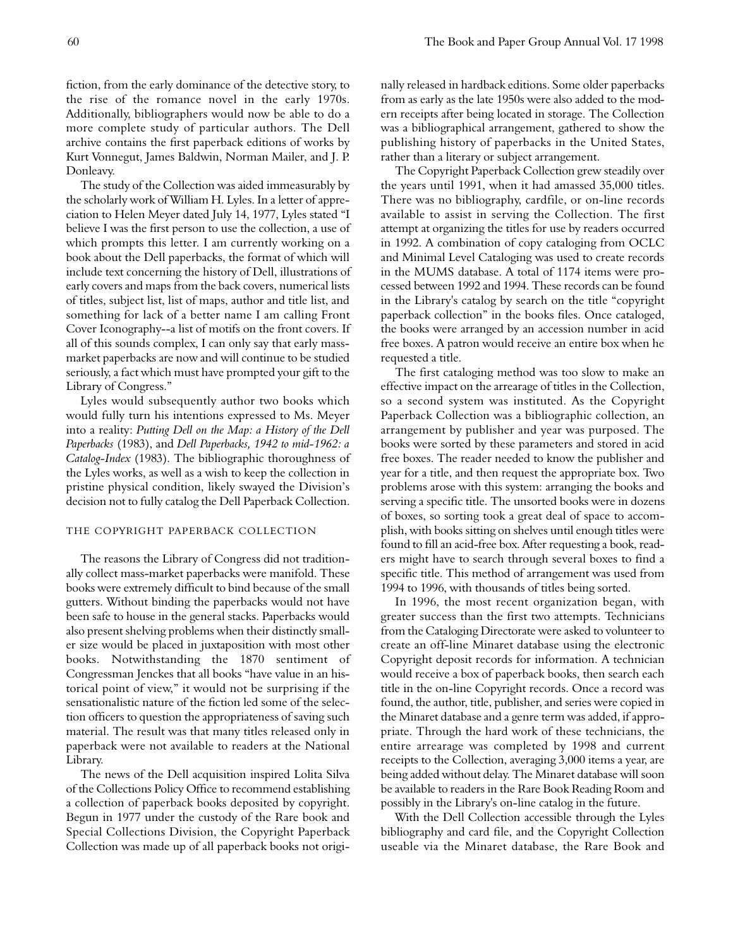fiction, from the early dominance of the detective story, to the rise of the romance novel in the early 1970s. Additionally, bibliographers would now be able to do a more complete study of particular authors. The Dell archive contains the first paperback editions of works by Kurt Vonnegut, James Baldwin, Norman Mailer, and J. P. Donleavy.

The study of the Collection was aided immeasurably by the scholarly work of William H. Lyles. In a letter of appreciation to Helen Meyer dated July 14, 1977, Lyles stated "I believe I was the first person to use the collection, a use of which prompts this letter. I am currently working on a book about the Dell paperbacks, the format of which will include text concerning the history of Dell, illustrations of early covers and maps from the back covers, numerical lists of titles, subject list, list of maps, author and title list, and something for lack of a better name I am calling Front Cover Iconography--a list of motifs on the front covers. If all of this sounds complex, I can only say that early massmarket paperbacks are now and will continue to be studied seriously, a fact which must have prompted your gift to the Library of Congress."

Lyles would subsequently author two books which would fully turn his intentions expressed to Ms. Meyer into a reality: *Putting Dell on the Map: a History of the Dell Paperbacks* (1983), and *Dell Paperbacks, 1942 to mid-1962: a* Catalog-Index (1983). The bibliographic thoroughness of the Lyles works, as well as a wish to keep the collection in pristine physical condition, likely swayed the Division's decision not to fully catalog the Dell Paperback Collection.

#### THE COPYRIGHT PAPERBACK COLLECTION

The reasons the Library of Congress did not traditionally collect mass-market paperbacks were manifold. These books were extremely difficult to bind because of the small gutters. Without binding the paperbacks would not have been safe to house in the general stacks. Paperbacks would also present shelving problems when their distinctly smaller size would be placed in juxtaposition with most other books. Notwithstanding the 1870 sentiment of Congressman Jenckes that all books "have value in an historical point of view," it would not be surprising if the sensationalistic nature of the fiction led some of the selection officers to question the appropriateness of saving such material. The result was that many titles released only in paperback were not available to readers at the National Library.

The news of the Dell acquisition inspired Lolita Silva of the Collections Policy Office to recommend establishing a collection of paperback books deposited by copyright. Begun in 1977 under the custody of the Rare book and Special Collections Division, the Copyright Paperback Collection was made up of all paperback books not originally released in hardback editions. Some older paperbacks from as early as the late 1950s were also added to the modern receipts after being located in storage. The Collection was a bibliographical arrangement, gathered to show the publishing history of paperbacks in the United States, rather than a literary or subject arrangement.

The Copyright Paperback Collection grew steadily over the years until 1991, when it had amassed 35,000 titles. There was no bibliography, cardfile, or on-line records available to assist in serving the Collection. The first attempt at organizing the titles for use by readers occurred in 1992. A combination of copy cataloging from OCLC and Minimal Level Cataloging was used to create records in the MUMS database. A total of 1174 items were processed between 1992 and 1994. These records can be found in the Library's catalog by search on the title "copyright paperback collection" in the books files. Once cataloged, the books were arranged by an accession number in acid free boxes. A patron would receive an entire box when he requested a title.

The first cataloging method was too slow to make an effective impact on the arrearage of titles in the Collection, so a second system was instituted. As the Copyright Paperback Collection was a bibliographic collection, an arrangement by publisher and year was purposed. The books were sorted by these parameters and stored in acid free boxes. The reader needed to know the publisher and year for a title, and then request the appropriate box. Two problems arose with this system: arranging the books and serving a specific title. The unsorted books were in dozens of boxes, so sorting took a great deal of space to accomplish, with books sitting on shelves until enough titles were found to fill an acid-free box. After requesting a book, readers might have to search through several boxes to find a specific title. This method of arrangement was used from 1994 to 1996, with thousands of titles being sorted.

In 1996, the most recent organization began, with greater success than the first two attempts. Technicians from the Cataloging Directorate were asked to volunteer to create an off-line Minaret database using the electronic Copyright deposit records for information. A technician would receive a box of paperback books, then search each title in the on-line Copyright records. Once a record was found, the author, title, publisher, and series were copied in the Minaret database and a genre term was added, if appropriate. Through the hard work of these technicians, the entire arrearage was completed by 1998 and current receipts to the Collection, averaging 3,000 items a year, are being added without delay. The Minaret database will soon be available to readers in the Rare Book Reading Room and possibly in the Library's on-line catalog in the future.

With the Dell Collection accessible through the Lyles bibliography and card file, and the Copyright Collection useable via the Minaret database, the Rare Book and